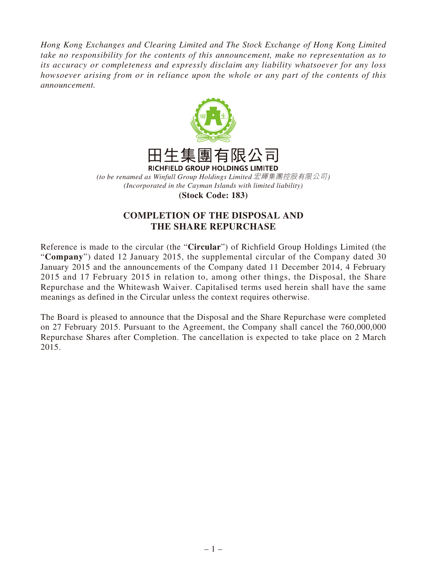*Hong Kong Exchanges and Clearing Limited and The Stock Exchange of Hong Kong Limited take no responsibility for the contents of this announcement, make no representation as to its accuracy or completeness and expressly disclaim any liability whatsoever for any loss howsoever arising from or in reliance upon the whole or any part of the contents of this announcement.*



*(Incorporated in the Cayman Islands with limited liability)*

**(Stock Code: 183)**

## **COMPLETION OF THE DISPOSAL AND THE SHARE REPURCHASE**

Reference is made to the circular (the "**Circular**") of Richfield Group Holdings Limited (the "**Company**") dated 12 January 2015, the supplemental circular of the Company dated 30 January 2015 and the announcements of the Company dated 11 December 2014, 4 February 2015 and 17 February 2015 in relation to, among other things, the Disposal, the Share Repurchase and the Whitewash Waiver. Capitalised terms used herein shall have the same meanings as defined in the Circular unless the context requires otherwise.

The Board is pleased to announce that the Disposal and the Share Repurchase were completed on 27 February 2015. Pursuant to the Agreement, the Company shall cancel the 760,000,000 Repurchase Shares after Completion. The cancellation is expected to take place on 2 March 2015.